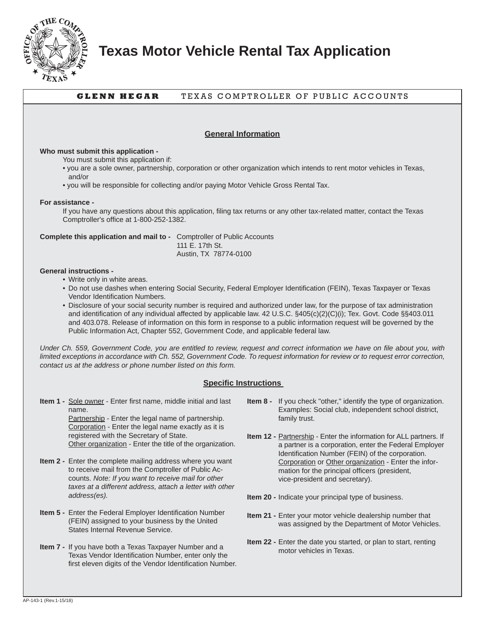

**Texas Motor Vehicle Rental Tax Application**

# **GLENN HEGAR** TEXAS COMPTROLLER OF PUBLIC ACCOUNTS

# **General Information**

### **Who must submit this application -**

You must submit this application if:

- you are a sole owner, partnership, corporation or other organization which intends to rent motor vehicles in Texas, and/or
- you will be responsible for collecting and/or paying Motor Vehicle Gross Rental Tax.

#### **For assistance -**

If you have any questions about this application, filing tax returns or any other tax-related matter, contact the Texas Comptroller's office at 1-800-252-1382.

**Complete this application and mail to -** Comptroller of Public Accounts 111 E. 17th St. Austin, TX 78774-0100

## **General instructions -**

- Write only in white areas.
- Do not use dashes when entering Social Security, Federal Employer Identification (FEIN), Texas Taxpayer or Texas Vendor Identification Numbers.
- Disclosure of your social security number is required and authorized under law, for the purpose of tax administration and identification of any individual affected by applicable law. 42 U.S.C. §405(c)(2)(C)(i); Tex. Govt. Code §§403.011 and 403.078. Release of information on this form in response to a public information request will be governed by the Public Information Act, Chapter 552, Government Code, and applicable federal law.

*Under Ch. 559, Government Code, you are entitled to review, request and correct information we have on file about you, with limited exceptions in accordance with Ch. 552, Government Code. To request information for review or to request error correction, contact us at the address or phone number listed on this form.*

#### **Specific Instructions**

**Item 1 -** Sole owner - Enter first name, middle initial and last name.

 Partnership - Enter the legal name of partnership. Corporation - Enter the legal name exactly as it is registered with the Secretary of State. Other organization - Enter the title of the organization.

- **Item 2 -** Enter the complete mailing address where you want to receive mail from the Comptroller of Public Accounts. *Note: If you want to receive mail for other taxes at a different address, attach a letter with other address(es).*
- **Item 5 -** Enter the Federal Employer Identification Number (FEIN) assigned to your business by the United States Internal Revenue Service.
- **Item 7 -** If you have both a Texas Taxpayer Number and a Texas Vendor Identification Number, enter only the first eleven digits of the Vendor Identification Number.
- **Item 8 -** If you check "other," identify the type of organization. Examples: Social club, independent school district, family trust.
- **Item 12 Partnership Enter the information for ALL partners. If** a partner is a corporation, enter the Federal Employer Identification Number (FEIN) of the corporation. Corporation or Other organization - Enter the information for the principal officers (president, vice-president and secretary).
- **Item 20 -** Indicate your principal type of business.
- **Item 21 -** Enter your motor vehicle dealership number that was assigned by the Department of Motor Vehicles.
- **Item 22 Enter the date you started, or plan to start, renting** motor vehicles in Texas.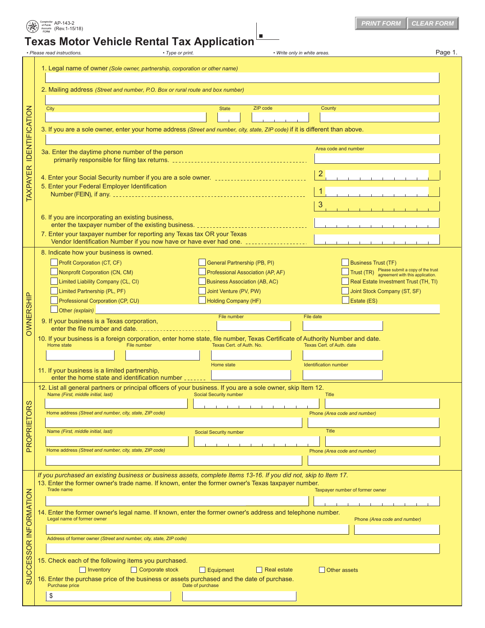|                                                                             | • Please read instructions.<br>• Type or print.                                                                                                                                                                        |                                      | Page 1.<br>• Write only in white areas.                                                     |  |  |  |  |
|-----------------------------------------------------------------------------|------------------------------------------------------------------------------------------------------------------------------------------------------------------------------------------------------------------------|--------------------------------------|---------------------------------------------------------------------------------------------|--|--|--|--|
| 1. Legal name of owner (Sole owner, partnership, corporation or other name) |                                                                                                                                                                                                                        |                                      |                                                                                             |  |  |  |  |
|                                                                             | 2. Mailing address (Street and number, P.O. Box or rural route and box number)                                                                                                                                         |                                      |                                                                                             |  |  |  |  |
|                                                                             | ZIP code<br>County<br>City<br><b>State</b>                                                                                                                                                                             |                                      |                                                                                             |  |  |  |  |
|                                                                             |                                                                                                                                                                                                                        |                                      |                                                                                             |  |  |  |  |
|                                                                             | 3. If you are a sole owner, enter your home address (Street and number, city, state, ZIP code) if it is different than above.                                                                                          |                                      |                                                                                             |  |  |  |  |
|                                                                             | Area code and number                                                                                                                                                                                                   |                                      |                                                                                             |  |  |  |  |
|                                                                             | 3a. Enter the daytime phone number of the person                                                                                                                                                                       |                                      |                                                                                             |  |  |  |  |
|                                                                             |                                                                                                                                                                                                                        |                                      |                                                                                             |  |  |  |  |
|                                                                             |                                                                                                                                                                                                                        |                                      |                                                                                             |  |  |  |  |
|                                                                             | 5. Enter your Federal Employer Identification                                                                                                                                                                          | $\vert$ 1                            |                                                                                             |  |  |  |  |
|                                                                             |                                                                                                                                                                                                                        |                                      |                                                                                             |  |  |  |  |
|                                                                             |                                                                                                                                                                                                                        |                                      | 3                                                                                           |  |  |  |  |
|                                                                             | 6. If you are incorporating an existing business,                                                                                                                                                                      |                                      |                                                                                             |  |  |  |  |
|                                                                             | 7. Enter your taxpayer number for reporting any Texas tax OR your Texas                                                                                                                                                |                                      |                                                                                             |  |  |  |  |
|                                                                             |                                                                                                                                                                                                                        |                                      |                                                                                             |  |  |  |  |
|                                                                             | 8. Indicate how your business is owned.                                                                                                                                                                                |                                      |                                                                                             |  |  |  |  |
|                                                                             | Profit Corporation (CT, CF)                                                                                                                                                                                            | General Partnership (PB, PI)         | <b>Business Trust (TF)</b>                                                                  |  |  |  |  |
|                                                                             | Nonprofit Corporation (CN, CM)                                                                                                                                                                                         | Professional Association (AP, AF)    | Trust (TR) Please submit a copy of the trust<br>Trust (TR) agreement with this application. |  |  |  |  |
|                                                                             | Limited Liability Company (CL, CI)                                                                                                                                                                                     | <b>Business Association (AB, AC)</b> | Real Estate Investment Trust (TH, TI)                                                       |  |  |  |  |
|                                                                             | Limited Partnership (PL, PF)                                                                                                                                                                                           | Joint Venture (PV, PW)               | Joint Stock Company (ST, SF)                                                                |  |  |  |  |
|                                                                             | Professional Corporation (CP, CU)                                                                                                                                                                                      | Holding Company (HF)                 | Estate (ES)                                                                                 |  |  |  |  |
|                                                                             | $\Box$ Other (explain)                                                                                                                                                                                                 | File number                          | File date                                                                                   |  |  |  |  |
|                                                                             | 9. If your business is a Texas corporation,<br>10. If your business is a foreign corporation, enter home state, file number, Texas Certificate of Authority Number and date.                                           |                                      |                                                                                             |  |  |  |  |
|                                                                             | Home state<br>File number                                                                                                                                                                                              | Texas Cert. of Auth. date            |                                                                                             |  |  |  |  |
|                                                                             |                                                                                                                                                                                                                        |                                      |                                                                                             |  |  |  |  |
|                                                                             |                                                                                                                                                                                                                        |                                      |                                                                                             |  |  |  |  |
|                                                                             | 11. If your business is a limited partnership,                                                                                                                                                                         | Home state                           | Identification number                                                                       |  |  |  |  |
|                                                                             | enter the home state and identification number                                                                                                                                                                         |                                      |                                                                                             |  |  |  |  |
|                                                                             | 12. List all general partners or principal officers of your business. If you are a sole owner, skip Item 12.<br>Name (First, middle initial, last)                                                                     | <b>Social Security number</b>        | <b>Title</b>                                                                                |  |  |  |  |
|                                                                             |                                                                                                                                                                                                                        |                                      |                                                                                             |  |  |  |  |
|                                                                             | Home address (Street and number, city, state, ZIP code)                                                                                                                                                                |                                      | Phone (Area code and number)                                                                |  |  |  |  |
|                                                                             | Name (First, middle initial, last)                                                                                                                                                                                     |                                      | Title                                                                                       |  |  |  |  |
|                                                                             |                                                                                                                                                                                                                        | Social Security number               |                                                                                             |  |  |  |  |
|                                                                             | Home address (Street and number, city, state, ZIP code)                                                                                                                                                                |                                      | Phone (Area code and number)                                                                |  |  |  |  |
|                                                                             |                                                                                                                                                                                                                        |                                      |                                                                                             |  |  |  |  |
|                                                                             |                                                                                                                                                                                                                        |                                      |                                                                                             |  |  |  |  |
|                                                                             | If you purchased an existing business or business assets, complete Items 13-16. If you did not, skip to Item 17.<br>13. Enter the former owner's trade name. If known, enter the former owner's Texas taxpayer number. |                                      |                                                                                             |  |  |  |  |
|                                                                             | Trade name                                                                                                                                                                                                             |                                      | Taxpayer number of former owner                                                             |  |  |  |  |
|                                                                             |                                                                                                                                                                                                                        |                                      |                                                                                             |  |  |  |  |
|                                                                             | 14. Enter the former owner's legal name. If known, enter the former owner's address and telephone number.                                                                                                              |                                      |                                                                                             |  |  |  |  |
|                                                                             | Legal name of former owner                                                                                                                                                                                             |                                      | Phone (Area code and number)                                                                |  |  |  |  |
|                                                                             |                                                                                                                                                                                                                        |                                      |                                                                                             |  |  |  |  |
|                                                                             | Address of former owner (Street and number, city, state, ZIP code)                                                                                                                                                     |                                      |                                                                                             |  |  |  |  |
|                                                                             |                                                                                                                                                                                                                        |                                      |                                                                                             |  |  |  |  |
|                                                                             | 15. Check each of the following items you purchased.                                                                                                                                                                   |                                      |                                                                                             |  |  |  |  |
|                                                                             | $\Box$ Corporate stock<br>$\Box$ Inventory<br>16. Enter the purchase price of the business or assets purchased and the date of purchase.                                                                               | $\Box$ Equipment<br>Real estate      | Other assets                                                                                |  |  |  |  |